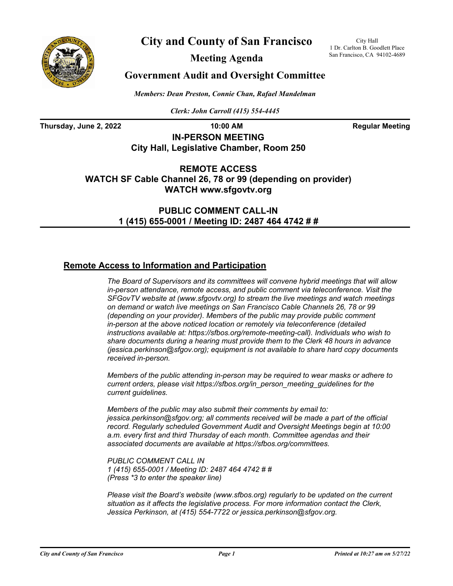

**City and County of San Francisco**

City Hall 1 Dr. Carlton B. Goodlett Place San Francisco, CA 94102-4689

**Meeting Agenda**

## **Government Audit and Oversight Committee**

*Members: Dean Preston, Connie Chan, Rafael Mandelman*

*Clerk: John Carroll (415) 554-4445*

**Thursday, June 2, 2022 10:00 AM Regular Meeting** 

**IN-PERSON MEETING City Hall, Legislative Chamber, Room 250**

**REMOTE ACCESS WATCH SF Cable Channel 26, 78 or 99 (depending on provider) WATCH www.sfgovtv.org**

> **PUBLIC COMMENT CALL-IN 1 (415) 655-0001 / Meeting ID: 2487 464 4742 # #**

## **Remote Access to Information and Participation**

*The Board of Supervisors and its committees will convene hybrid meetings that will allow in-person attendance, remote access, and public comment via teleconference. Visit the SFGovTV website at (www.sfgovtv.org) to stream the live meetings and watch meetings on demand or watch live meetings on San Francisco Cable Channels 26, 78 or 99 (depending on your provider). Members of the public may provide public comment in-person at the above noticed location or remotely via teleconference (detailed instructions available at: https://sfbos.org/remote-meeting-call). Individuals who wish to share documents during a hearing must provide them to the Clerk 48 hours in advance (jessica.perkinson@sfgov.org); equipment is not available to share hard copy documents received in-person.*

*Members of the public attending in-person may be required to wear masks or adhere to current orders, please visit https://sfbos.org/in\_person\_meeting\_guidelines for the current guidelines.*

*Members of the public may also submit their comments by email to: jessica.perkinson@sfgov.org; all comments received will be made a part of the official record. Regularly scheduled Government Audit and Oversight Meetings begin at 10:00 a.m. every first and third Thursday of each month. Committee agendas and their associated documents are available at https://sfbos.org/committees.*

*PUBLIC COMMENT CALL IN 1 (415) 655-0001 / Meeting ID: 2487 464 4742 # # (Press \*3 to enter the speaker line)*

*Please visit the Board's website (www.sfbos.org) regularly to be updated on the current situation as it affects the legislative process. For more information contact the Clerk, Jessica Perkinson, at (415) 554-7722 or jessica.perkinson@sfgov.org.*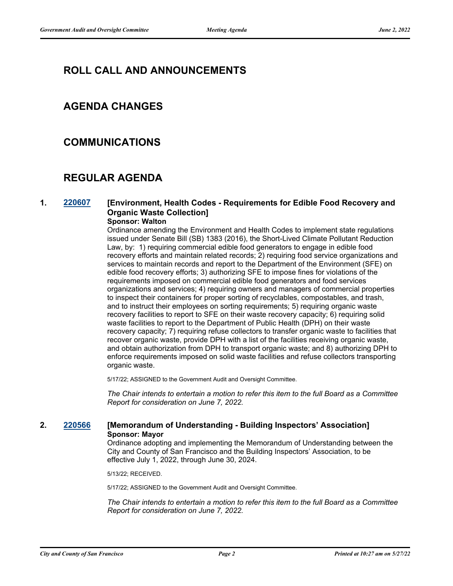# **ROLL CALL AND ANNOUNCEMENTS**

## **AGENDA CHANGES**

## **COMMUNICATIONS**

# **REGULAR AGENDA**

## **1. [220607](http://sfgov.legistar.com/gateway.aspx?m=l&id=38799) [Environment, Health Codes - Requirements for Edible Food Recovery and Organic Waste Collection]**

## **Sponsor: Walton**

Ordinance amending the Environment and Health Codes to implement state regulations issued under Senate Bill (SB) 1383 (2016), the Short-Lived Climate Pollutant Reduction Law, by: 1) requiring commercial edible food generators to engage in edible food recovery efforts and maintain related records; 2) requiring food service organizations and services to maintain records and report to the Department of the Environment (SFE) on edible food recovery efforts; 3) authorizing SFE to impose fines for violations of the requirements imposed on commercial edible food generators and food services organizations and services; 4) requiring owners and managers of commercial properties to inspect their containers for proper sorting of recyclables, compostables, and trash, and to instruct their employees on sorting requirements; 5) requiring organic waste recovery facilities to report to SFE on their waste recovery capacity; 6) requiring solid waste facilities to report to the Department of Public Health (DPH) on their waste recovery capacity; 7) requiring refuse collectors to transfer organic waste to facilities that recover organic waste, provide DPH with a list of the facilities receiving organic waste, and obtain authorization from DPH to transport organic waste; and 8) authorizing DPH to enforce requirements imposed on solid waste facilities and refuse collectors transporting organic waste.

5/17/22; ASSIGNED to the Government Audit and Oversight Committee.

*The Chair intends to entertain a motion to refer this item to the full Board as a Committee Report for consideration on June 7, 2022.*

## **2. [220566](http://sfgov.legistar.com/gateway.aspx?m=l&id=38758) [Memorandum of Understanding - Building Inspectors' Association] Sponsor: Mayor**

Ordinance adopting and implementing the Memorandum of Understanding between the City and County of San Francisco and the Building Inspectors' Association, to be effective July 1, 2022, through June 30, 2024.

5/13/22; RECEIVED.

5/17/22; ASSIGNED to the Government Audit and Oversight Committee.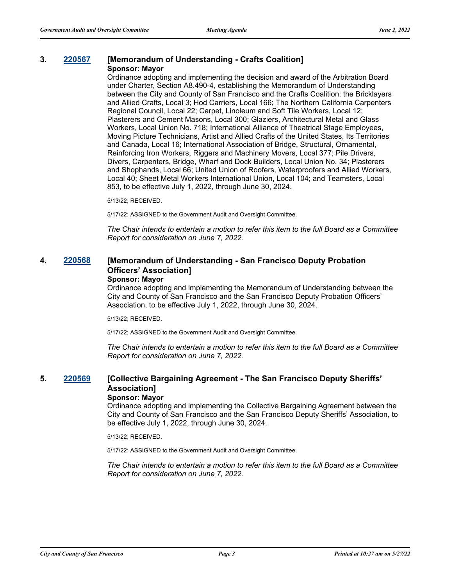### **3. [220567](http://sfgov.legistar.com/gateway.aspx?m=l&id=38759) [Memorandum of Understanding - Crafts Coalition] Sponsor: Mayor**

Ordinance adopting and implementing the decision and award of the Arbitration Board under Charter, Section A8.490-4, establishing the Memorandum of Understanding between the City and County of San Francisco and the Crafts Coalition: the Bricklayers and Allied Crafts, Local 3; Hod Carriers, Local 166; The Northern California Carpenters Regional Council, Local 22; Carpet, Linoleum and Soft Tile Workers, Local 12; Plasterers and Cement Masons, Local 300; Glaziers, Architectural Metal and Glass Workers, Local Union No. 718; International Alliance of Theatrical Stage Employees, Moving Picture Technicians, Artist and Allied Crafts of the United States, Its Territories and Canada, Local 16; International Association of Bridge, Structural, Ornamental, Reinforcing Iron Workers, Riggers and Machinery Movers, Local 377; Pile Drivers, Divers, Carpenters, Bridge, Wharf and Dock Builders, Local Union No. 34; Plasterers and Shophands, Local 66; United Union of Roofers, Waterproofers and Allied Workers, Local 40; Sheet Metal Workers International Union, Local 104; and Teamsters, Local 853, to be effective July 1, 2022, through June 30, 2024.

5/13/22; RECEIVED.

5/17/22; ASSIGNED to the Government Audit and Oversight Committee.

*The Chair intends to entertain a motion to refer this item to the full Board as a Committee Report for consideration on June 7, 2022.*

## **4. [220568](http://sfgov.legistar.com/gateway.aspx?m=l&id=38760) [Memorandum of Understanding - San Francisco Deputy Probation Officers' Association] Sponsor: Mayor**

Ordinance adopting and implementing the Memorandum of Understanding between the City and County of San Francisco and the San Francisco Deputy Probation Officers' Association, to be effective July 1, 2022, through June 30, 2024.

5/13/22; RECEIVED.

5/17/22; ASSIGNED to the Government Audit and Oversight Committee.

*The Chair intends to entertain a motion to refer this item to the full Board as a Committee Report for consideration on June 7, 2022.*

## **5. [220569](http://sfgov.legistar.com/gateway.aspx?m=l&id=38761) [Collective Bargaining Agreement - The San Francisco Deputy Sheriffs' Association] Sponsor: Mayor**

Ordinance adopting and implementing the Collective Bargaining Agreement between the City and County of San Francisco and the San Francisco Deputy Sheriffs' Association, to be effective July 1, 2022, through June 30, 2024.

5/13/22; RECEIVED.

5/17/22; ASSIGNED to the Government Audit and Oversight Committee.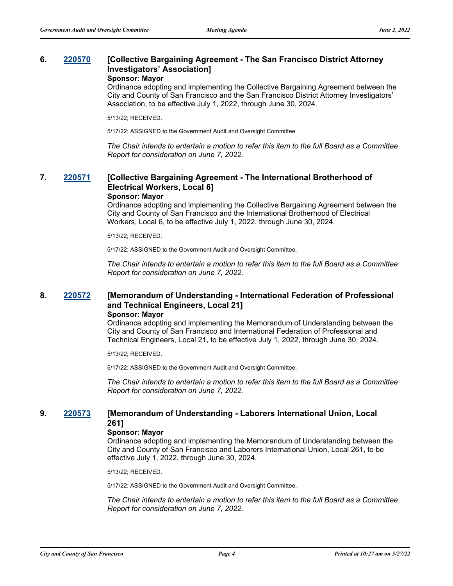### **6. [220570](http://sfgov.legistar.com/gateway.aspx?m=l&id=38762) [Collective Bargaining Agreement - The San Francisco District Attorney Investigators' Association] Sponsor: Mayor**

Ordinance adopting and implementing the Collective Bargaining Agreement between the City and County of San Francisco and the San Francisco District Attorney Investigators'

Association, to be effective July 1, 2022, through June 30, 2024.

5/13/22; RECEIVED.

5/17/22; ASSIGNED to the Government Audit and Oversight Committee.

*The Chair intends to entertain a motion to refer this item to the full Board as a Committee Report for consideration on June 7, 2022.*

## **7. [220571](http://sfgov.legistar.com/gateway.aspx?m=l&id=38763) [Collective Bargaining Agreement - The International Brotherhood of Electrical Workers, Local 6]**

#### **Sponsor: Mayor**

Ordinance adopting and implementing the Collective Bargaining Agreement between the City and County of San Francisco and the International Brotherhood of Electrical Workers, Local 6, to be effective July 1, 2022, through June 30, 2024.

5/13/22; RECEIVED.

5/17/22; ASSIGNED to the Government Audit and Oversight Committee.

*The Chair intends to entertain a motion to refer this item to the full Board as a Committee Report for consideration on June 7, 2022.*

#### **8. [220572](http://sfgov.legistar.com/gateway.aspx?m=l&id=38764) [Memorandum of Understanding - International Federation of Professional and Technical Engineers, Local 21] Sponsor: Mayor**

Ordinance adopting and implementing the Memorandum of Understanding between the City and County of San Francisco and International Federation of Professional and Technical Engineers, Local 21, to be effective July 1, 2022, through June 30, 2024.

5/13/22; RECEIVED.

5/17/22; ASSIGNED to the Government Audit and Oversight Committee.

*The Chair intends to entertain a motion to refer this item to the full Board as a Committee Report for consideration on June 7, 2022.*

## **9. [220573](http://sfgov.legistar.com/gateway.aspx?m=l&id=38765) [Memorandum of Understanding - Laborers International Union, Local 261]**

#### **Sponsor: Mayor**

Ordinance adopting and implementing the Memorandum of Understanding between the City and County of San Francisco and Laborers International Union, Local 261, to be effective July 1, 2022, through June 30, 2024.

5/13/22; RECEIVED.

5/17/22; ASSIGNED to the Government Audit and Oversight Committee.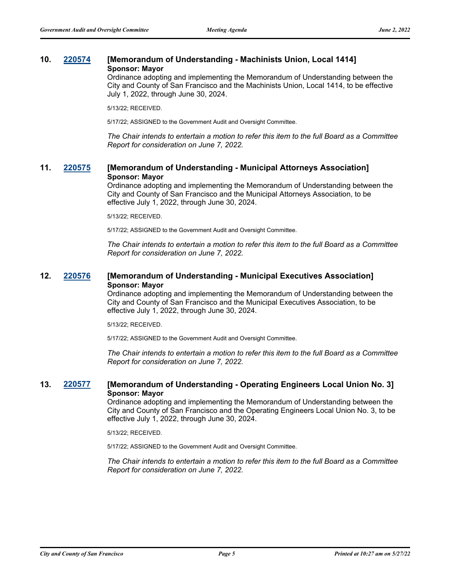## **10. [220574](http://sfgov.legistar.com/gateway.aspx?m=l&id=38766) [Memorandum of Understanding - Machinists Union, Local 1414] Sponsor: Mayor**

Ordinance adopting and implementing the Memorandum of Understanding between the City and County of San Francisco and the Machinists Union, Local 1414, to be effective July 1, 2022, through June 30, 2024.

5/13/22; RECEIVED.

5/17/22; ASSIGNED to the Government Audit and Oversight Committee.

*The Chair intends to entertain a motion to refer this item to the full Board as a Committee Report for consideration on June 7, 2022.*

## **11. [220575](http://sfgov.legistar.com/gateway.aspx?m=l&id=38767) [Memorandum of Understanding - Municipal Attorneys Association] Sponsor: Mayor**

Ordinance adopting and implementing the Memorandum of Understanding between the City and County of San Francisco and the Municipal Attorneys Association, to be effective July 1, 2022, through June 30, 2024.

5/13/22; RECEIVED.

5/17/22; ASSIGNED to the Government Audit and Oversight Committee.

*The Chair intends to entertain a motion to refer this item to the full Board as a Committee Report for consideration on June 7, 2022.*

## **12. [220576](http://sfgov.legistar.com/gateway.aspx?m=l&id=38768) [Memorandum of Understanding - Municipal Executives Association] Sponsor: Mayor**

Ordinance adopting and implementing the Memorandum of Understanding between the City and County of San Francisco and the Municipal Executives Association, to be effective July 1, 2022, through June 30, 2024.

5/13/22; RECEIVED.

5/17/22; ASSIGNED to the Government Audit and Oversight Committee.

*The Chair intends to entertain a motion to refer this item to the full Board as a Committee Report for consideration on June 7, 2022.*

## **13. [220577](http://sfgov.legistar.com/gateway.aspx?m=l&id=38769) [Memorandum of Understanding - Operating Engineers Local Union No. 3] Sponsor: Mayor**

Ordinance adopting and implementing the Memorandum of Understanding between the City and County of San Francisco and the Operating Engineers Local Union No. 3, to be effective July 1, 2022, through June 30, 2024.

5/13/22; RECEIVED.

5/17/22; ASSIGNED to the Government Audit and Oversight Committee.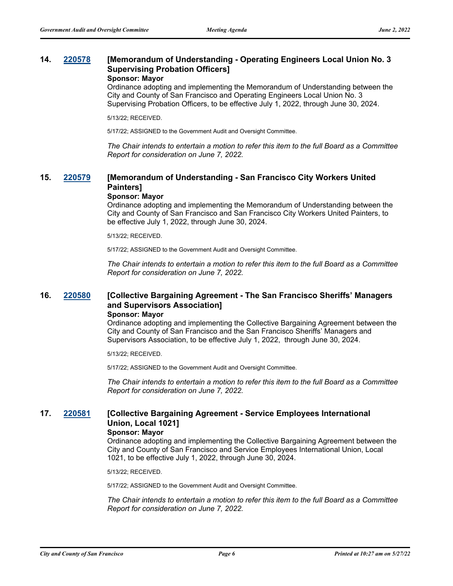## **14. [220578](http://sfgov.legistar.com/gateway.aspx?m=l&id=38770) [Memorandum of Understanding - Operating Engineers Local Union No. 3 Supervising Probation Officers] Sponsor: Mayor**

Ordinance adopting and implementing the Memorandum of Understanding between the City and County of San Francisco and Operating Engineers Local Union No. 3 Supervising Probation Officers, to be effective July 1, 2022, through June 30, 2024.

5/13/22; RECEIVED.

5/17/22; ASSIGNED to the Government Audit and Oversight Committee.

*The Chair intends to entertain a motion to refer this item to the full Board as a Committee Report for consideration on June 7, 2022.*

## **15. [220579](http://sfgov.legistar.com/gateway.aspx?m=l&id=38771) [Memorandum of Understanding - San Francisco City Workers United Painters]**

#### **Sponsor: Mayor**

Ordinance adopting and implementing the Memorandum of Understanding between the City and County of San Francisco and San Francisco City Workers United Painters, to be effective July 1, 2022, through June 30, 2024.

5/13/22; RECEIVED.

5/17/22; ASSIGNED to the Government Audit and Oversight Committee.

*The Chair intends to entertain a motion to refer this item to the full Board as a Committee Report for consideration on June 7, 2022.*

## **16. [220580](http://sfgov.legistar.com/gateway.aspx?m=l&id=38772) [Collective Bargaining Agreement - The San Francisco Sheriffs' Managers and Supervisors Association] Sponsor: Mayor**

Ordinance adopting and implementing the Collective Bargaining Agreement between the City and County of San Francisco and the San Francisco Sheriffs' Managers and Supervisors Association, to be effective July 1, 2022, through June 30, 2024.

5/13/22; RECEIVED.

5/17/22; ASSIGNED to the Government Audit and Oversight Committee.

*The Chair intends to entertain a motion to refer this item to the full Board as a Committee Report for consideration on June 7, 2022.*

## **17. [220581](http://sfgov.legistar.com/gateway.aspx?m=l&id=38773) [Collective Bargaining Agreement - Service Employees International Union, Local 1021]**

## **Sponsor: Mayor**

Ordinance adopting and implementing the Collective Bargaining Agreement between the City and County of San Francisco and Service Employees International Union, Local 1021, to be effective July 1, 2022, through June 30, 2024.

5/13/22; RECEIVED.

5/17/22; ASSIGNED to the Government Audit and Oversight Committee.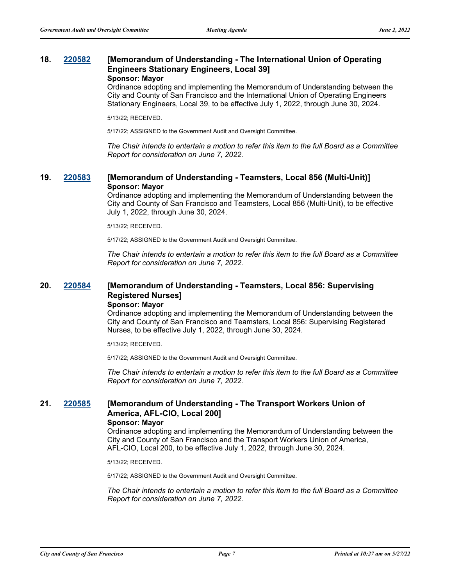## **18. [220582](http://sfgov.legistar.com/gateway.aspx?m=l&id=38774) [Memorandum of Understanding - The International Union of Operating Engineers Stationary Engineers, Local 39] Sponsor: Mayor**

Ordinance adopting and implementing the Memorandum of Understanding between the City and County of San Francisco and the International Union of Operating Engineers Stationary Engineers, Local 39, to be effective July 1, 2022, through June 30, 2024.

5/13/22; RECEIVED.

5/17/22; ASSIGNED to the Government Audit and Oversight Committee.

*The Chair intends to entertain a motion to refer this item to the full Board as a Committee Report for consideration on June 7, 2022.*

## **19. [220583](http://sfgov.legistar.com/gateway.aspx?m=l&id=38775) [Memorandum of Understanding - Teamsters, Local 856 (Multi-Unit)] Sponsor: Mayor**

Ordinance adopting and implementing the Memorandum of Understanding between the City and County of San Francisco and Teamsters, Local 856 (Multi-Unit), to be effective July 1, 2022, through June 30, 2024.

5/13/22; RECEIVED.

5/17/22; ASSIGNED to the Government Audit and Oversight Committee.

*The Chair intends to entertain a motion to refer this item to the full Board as a Committee Report for consideration on June 7, 2022.*

## **20. [220584](http://sfgov.legistar.com/gateway.aspx?m=l&id=38776) [Memorandum of Understanding - Teamsters, Local 856: Supervising Registered Nurses] Sponsor: Mayor**

Ordinance adopting and implementing the Memorandum of Understanding between the City and County of San Francisco and Teamsters, Local 856: Supervising Registered Nurses, to be effective July 1, 2022, through June 30, 2024.

5/13/22; RECEIVED.

5/17/22; ASSIGNED to the Government Audit and Oversight Committee.

*The Chair intends to entertain a motion to refer this item to the full Board as a Committee Report for consideration on June 7, 2022.*

## **21. [220585](http://sfgov.legistar.com/gateway.aspx?m=l&id=38777) [Memorandum of Understanding - The Transport Workers Union of America, AFL-CIO, Local 200]**

## **Sponsor: Mayor**

Ordinance adopting and implementing the Memorandum of Understanding between the City and County of San Francisco and the Transport Workers Union of America, AFL-CIO, Local 200, to be effective July 1, 2022, through June 30, 2024.

5/13/22; RECEIVED.

5/17/22; ASSIGNED to the Government Audit and Oversight Committee.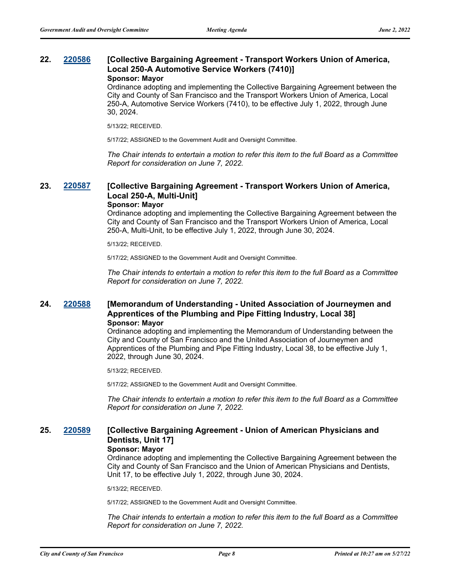### **22. [220586](http://sfgov.legistar.com/gateway.aspx?m=l&id=38778) [Collective Bargaining Agreement - Transport Workers Union of America, Local 250-A Automotive Service Workers (7410)] Sponsor: Mayor**

Ordinance adopting and implementing the Collective Bargaining Agreement between the City and County of San Francisco and the Transport Workers Union of America, Local 250-A, Automotive Service Workers (7410), to be effective July 1, 2022, through June 30, 2024.

5/13/22; RECEIVED.

5/17/22; ASSIGNED to the Government Audit and Oversight Committee.

*The Chair intends to entertain a motion to refer this item to the full Board as a Committee Report for consideration on June 7, 2022.*

## **23. [220587](http://sfgov.legistar.com/gateway.aspx?m=l&id=38779) [Collective Bargaining Agreement - Transport Workers Union of America, Local 250-A, Multi-Unit] Sponsor: Mayor**

Ordinance adopting and implementing the Collective Bargaining Agreement between the City and County of San Francisco and the Transport Workers Union of America, Local 250-A, Multi-Unit, to be effective July 1, 2022, through June 30, 2024.

5/13/22; RECEIVED.

5/17/22; ASSIGNED to the Government Audit and Oversight Committee.

*The Chair intends to entertain a motion to refer this item to the full Board as a Committee Report for consideration on June 7, 2022.*

## **24. [220588](http://sfgov.legistar.com/gateway.aspx?m=l&id=38780) [Memorandum of Understanding - United Association of Journeymen and Apprentices of the Plumbing and Pipe Fitting Industry, Local 38] Sponsor: Mayor**

Ordinance adopting and implementing the Memorandum of Understanding between the City and County of San Francisco and the United Association of Journeymen and Apprentices of the Plumbing and Pipe Fitting Industry, Local 38, to be effective July 1, 2022, through June 30, 2024.

5/13/22; RECEIVED.

5/17/22; ASSIGNED to the Government Audit and Oversight Committee.

*The Chair intends to entertain a motion to refer this item to the full Board as a Committee Report for consideration on June 7, 2022.*

## **25. [220589](http://sfgov.legistar.com/gateway.aspx?m=l&id=38781) [Collective Bargaining Agreement - Union of American Physicians and Dentists, Unit 17]**

#### **Sponsor: Mayor**

Ordinance adopting and implementing the Collective Bargaining Agreement between the City and County of San Francisco and the Union of American Physicians and Dentists, Unit 17, to be effective July 1, 2022, through June 30, 2024.

5/13/22; RECEIVED.

5/17/22; ASSIGNED to the Government Audit and Oversight Committee.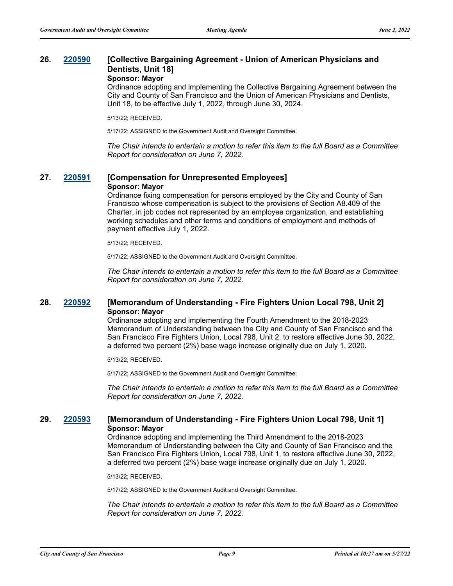## **26. [220590](http://sfgov.legistar.com/gateway.aspx?m=l&id=38782) [Collective Bargaining Agreement - Union of American Physicians and Dentists, Unit 18]**

## **Sponsor: Mayor**

Ordinance adopting and implementing the Collective Bargaining Agreement between the City and County of San Francisco and the Union of American Physicians and Dentists, Unit 18, to be effective July 1, 2022, through June 30, 2024.

5/13/22; RECEIVED.

5/17/22; ASSIGNED to the Government Audit and Oversight Committee.

*The Chair intends to entertain a motion to refer this item to the full Board as a Committee Report for consideration on June 7, 2022.*

## **27. [220591](http://sfgov.legistar.com/gateway.aspx?m=l&id=38783) [Compensation for Unrepresented Employees] Sponsor: Mayor**

Ordinance fixing compensation for persons employed by the City and County of San Francisco whose compensation is subject to the provisions of Section A8.409 of the Charter, in job codes not represented by an employee organization, and establishing working schedules and other terms and conditions of employment and methods of payment effective July 1, 2022.

5/13/22; RECEIVED.

5/17/22; ASSIGNED to the Government Audit and Oversight Committee.

*The Chair intends to entertain a motion to refer this item to the full Board as a Committee Report for consideration on June 7, 2022.*

## **28. [220592](http://sfgov.legistar.com/gateway.aspx?m=l&id=38784) [Memorandum of Understanding - Fire Fighters Union Local 798, Unit 2] Sponsor: Mayor**

Ordinance adopting and implementing the Fourth Amendment to the 2018-2023 Memorandum of Understanding between the City and County of San Francisco and the San Francisco Fire Fighters Union, Local 798, Unit 2, to restore effective June 30, 2022, a deferred two percent (2%) base wage increase originally due on July 1, 2020.

5/13/22; RECEIVED.

5/17/22; ASSIGNED to the Government Audit and Oversight Committee.

*The Chair intends to entertain a motion to refer this item to the full Board as a Committee Report for consideration on June 7, 2022.*

## **29. [220593](http://sfgov.legistar.com/gateway.aspx?m=l&id=38785) [Memorandum of Understanding - Fire Fighters Union Local 798, Unit 1] Sponsor: Mayor**

Ordinance adopting and implementing the Third Amendment to the 2018-2023 Memorandum of Understanding between the City and County of San Francisco and the San Francisco Fire Fighters Union, Local 798, Unit 1, to restore effective June 30, 2022, a deferred two percent (2%) base wage increase originally due on July 1, 2020.

5/13/22; RECEIVED.

5/17/22; ASSIGNED to the Government Audit and Oversight Committee.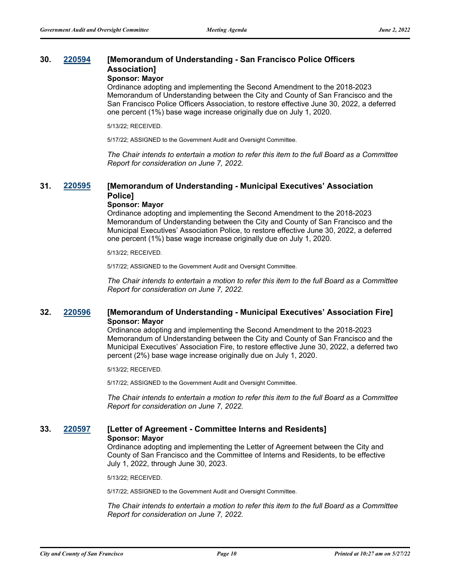## **30. [220594](http://sfgov.legistar.com/gateway.aspx?m=l&id=38786) [Memorandum of Understanding - San Francisco Police Officers Association]**

## **Sponsor: Mayor**

Ordinance adopting and implementing the Second Amendment to the 2018-2023 Memorandum of Understanding between the City and County of San Francisco and the San Francisco Police Officers Association, to restore effective June 30, 2022, a deferred one percent (1%) base wage increase originally due on July 1, 2020.

5/13/22; RECEIVED.

5/17/22; ASSIGNED to the Government Audit and Oversight Committee.

*The Chair intends to entertain a motion to refer this item to the full Board as a Committee Report for consideration on June 7, 2022.*

### **31. [220595](http://sfgov.legistar.com/gateway.aspx?m=l&id=38787) [Memorandum of Understanding - Municipal Executives' Association Police] Sponsor: Mayor**

## Ordinance adopting and implementing the Second Amendment to the 2018-2023 Memorandum of Understanding between the City and County of San Francisco and the Municipal Executives' Association Police, to restore effective June 30, 2022, a deferred one percent (1%) base wage increase originally due on July 1, 2020.

5/13/22; RECEIVED.

5/17/22; ASSIGNED to the Government Audit and Oversight Committee.

*The Chair intends to entertain a motion to refer this item to the full Board as a Committee Report for consideration on June 7, 2022.*

## **32. [220596](http://sfgov.legistar.com/gateway.aspx?m=l&id=38788) [Memorandum of Understanding - Municipal Executives' Association Fire] Sponsor: Mayor**

Ordinance adopting and implementing the Second Amendment to the 2018-2023 Memorandum of Understanding between the City and County of San Francisco and the Municipal Executives' Association Fire, to restore effective June 30, 2022, a deferred two percent (2%) base wage increase originally due on July 1, 2020.

5/13/22; RECEIVED.

5/17/22; ASSIGNED to the Government Audit and Oversight Committee.

*The Chair intends to entertain a motion to refer this item to the full Board as a Committee Report for consideration on June 7, 2022.*

# **33. [220597](http://sfgov.legistar.com/gateway.aspx?m=l&id=38789) [Letter of Agreement - Committee Interns and Residents]**

**Sponsor: Mayor**

Ordinance adopting and implementing the Letter of Agreement between the City and County of San Francisco and the Committee of Interns and Residents, to be effective July 1, 2022, through June 30, 2023.

5/13/22; RECEIVED.

5/17/22; ASSIGNED to the Government Audit and Oversight Committee.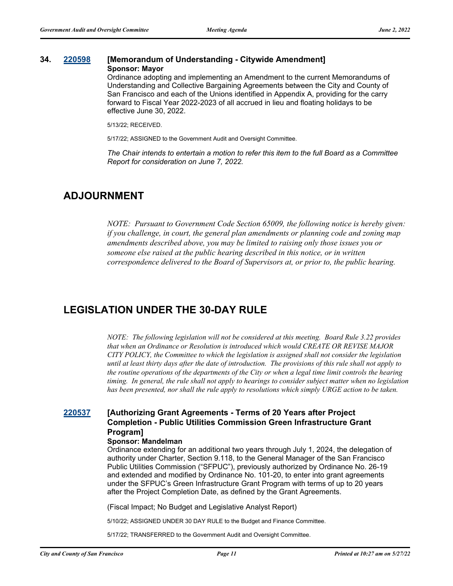#### **34. [220598](http://sfgov.legistar.com/gateway.aspx?m=l&id=38790) [Memorandum of Understanding - Citywide Amendment] Sponsor: Mayor**

Ordinance adopting and implementing an Amendment to the current Memorandums of Understanding and Collective Bargaining Agreements between the City and County of San Francisco and each of the Unions identified in Appendix A, providing for the carry forward to Fiscal Year 2022-2023 of all accrued in lieu and floating holidays to be effective June 30, 2022.

5/13/22; RECEIVED.

5/17/22; ASSIGNED to the Government Audit and Oversight Committee.

*The Chair intends to entertain a motion to refer this item to the full Board as a Committee Report for consideration on June 7, 2022.*

## **ADJOURNMENT**

*NOTE: Pursuant to Government Code Section 65009, the following notice is hereby given: if you challenge, in court, the general plan amendments or planning code and zoning map amendments described above, you may be limited to raising only those issues you or someone else raised at the public hearing described in this notice, or in written correspondence delivered to the Board of Supervisors at, or prior to, the public hearing.*

## **LEGISLATION UNDER THE 30-DAY RULE**

*NOTE: The following legislation will not be considered at this meeting. Board Rule 3.22 provides that when an Ordinance or Resolution is introduced which would CREATE OR REVISE MAJOR CITY POLICY, the Committee to which the legislation is assigned shall not consider the legislation until at least thirty days after the date of introduction. The provisions of this rule shall not apply to the routine operations of the departments of the City or when a legal time limit controls the hearing timing. In general, the rule shall not apply to hearings to consider subject matter when no legislation has been presented, nor shall the rule apply to resolutions which simply URGE action to be taken.*

## **[220537](http://sfgov.legistar.com/gateway.aspx?m=l&id=38729) [Authorizing Grant Agreements - Terms of 20 Years after Project Completion - Public Utilities Commission Green Infrastructure Grant Program]**

### **Sponsor: Mandelman**

Ordinance extending for an additional two years through July 1, 2024, the delegation of authority under Charter, Section 9.118, to the General Manager of the San Francisco Public Utilities Commission ("SFPUC"), previously authorized by Ordinance No. 26-19 and extended and modified by Ordinance No. 101-20, to enter into grant agreements under the SFPUC's Green Infrastructure Grant Program with terms of up to 20 years after the Project Completion Date, as defined by the Grant Agreements.

(Fiscal Impact; No Budget and Legislative Analyst Report)

5/10/22; ASSIGNED UNDER 30 DAY RULE to the Budget and Finance Committee.

5/17/22; TRANSFERRED to the Government Audit and Oversight Committee.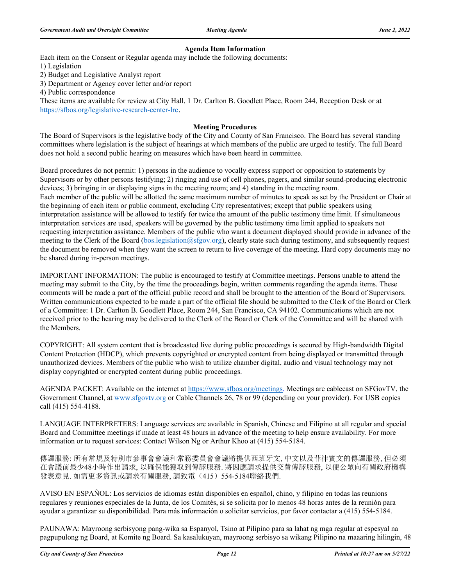## **Agenda Item Information**

Each item on the Consent or Regular agenda may include the following documents:

1) Legislation

2) Budget and Legislative Analyst report

3) Department or Agency cover letter and/or report

4) Public correspondence

These items are available for review at City Hall, 1 Dr. Carlton B. Goodlett Place, Room 244, Reception Desk or at https://sfbos.org/legislative-research-center-lrc.

### **Meeting Procedures**

The Board of Supervisors is the legislative body of the City and County of San Francisco. The Board has several standing committees where legislation is the subject of hearings at which members of the public are urged to testify. The full Board does not hold a second public hearing on measures which have been heard in committee.

Board procedures do not permit: 1) persons in the audience to vocally express support or opposition to statements by Supervisors or by other persons testifying; 2) ringing and use of cell phones, pagers, and similar sound-producing electronic devices; 3) bringing in or displaying signs in the meeting room; and 4) standing in the meeting room. Each member of the public will be allotted the same maximum number of minutes to speak as set by the President or Chair at the beginning of each item or public comment, excluding City representatives; except that public speakers using interpretation assistance will be allowed to testify for twice the amount of the public testimony time limit. If simultaneous interpretation services are used, speakers will be governed by the public testimony time limit applied to speakers not requesting interpretation assistance. Members of the public who want a document displayed should provide in advance of the meeting to the Clerk of the Board (bos.legislation@sfgov.org), clearly state such during testimony, and subsequently request the document be removed when they want the screen to return to live coverage of the meeting. Hard copy documents may no be shared during in-person meetings.

IMPORTANT INFORMATION: The public is encouraged to testify at Committee meetings. Persons unable to attend the meeting may submit to the City, by the time the proceedings begin, written comments regarding the agenda items. These comments will be made a part of the official public record and shall be brought to the attention of the Board of Supervisors. Written communications expected to be made a part of the official file should be submitted to the Clerk of the Board or Clerk of a Committee: 1 Dr. Carlton B. Goodlett Place, Room 244, San Francisco, CA 94102. Communications which are not received prior to the hearing may be delivered to the Clerk of the Board or Clerk of the Committee and will be shared with the Members.

COPYRIGHT: All system content that is broadcasted live during public proceedings is secured by High-bandwidth Digital Content Protection (HDCP), which prevents copyrighted or encrypted content from being displayed or transmitted through unauthorized devices. Members of the public who wish to utilize chamber digital, audio and visual technology may not display copyrighted or encrypted content during public proceedings.

AGENDA PACKET: Available on the internet at https://www.sfbos.org/meetings. Meetings are cablecast on SFGovTV, the Government Channel, at www.sfgovtv.org or Cable Channels 26, 78 or 99 (depending on your provider). For USB copies call (415) 554-4188.

LANGUAGE INTERPRETERS: Language services are available in Spanish, Chinese and Filipino at all regular and special Board and Committee meetings if made at least 48 hours in advance of the meeting to help ensure availability. For more information or to request services: Contact Wilson Ng or Arthur Khoo at (415) 554-5184.

傳譯服務: 所有常規及特別市參事會會議和常務委員會會議將提供西班牙文, 中文以及菲律賓文的傳譯服務, 但必須 在會議前最少48小時作出請求, 以確保能獲取到傳譯服務. 將因應請求提供交替傳譯服務, 以便公眾向有關政府機構 發表意見. 如需更多資訊或請求有關服務, 請致電(415) 554-5184聯絡我們.

AVISO EN ESPAÑOL: Los servicios de idiomas están disponibles en español, chino, y filipino en todas las reunions regulares y reuniones especiales de la Junta, de los Comités, si se solicita por lo menos 48 horas antes de la reunión para ayudar a garantizar su disponibilidad. Para más información o solicitar servicios, por favor contactar a (415) 554-5184.

PAUNAWA: Mayroong serbisyong pang-wika sa Espanyol, Tsino at Pilipino para sa lahat ng mga regular at espesyal na pagpupulong ng Board, at Komite ng Board. Sa kasalukuyan, mayroong serbisyo sa wikang Pilipino na maaaring hilingin, 48